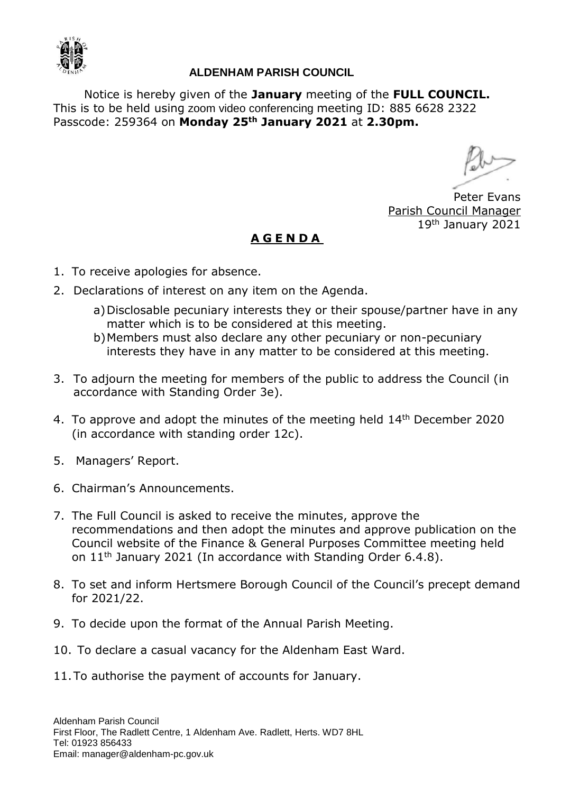

## **ALDENHAM PARISH COUNCIL**

Notice is hereby given of the **January** meeting of the **FULL COUNCIL.**  This is to be held using zoom video conferencing meeting ID: 885 6628 2322 Passcode: 259364 on **Monday 25th January 2021** at **2.30pm.**

Peter Evans Parish Council Manager 19th January 2021

## **A G E N D A**

- 1. To receive apologies for absence.
- 2. Declarations of interest on any item on the Agenda.
	- a)Disclosable pecuniary interests they or their spouse/partner have in any matter which is to be considered at this meeting.
	- b)Members must also declare any other pecuniary or non-pecuniary interests they have in any matter to be considered at this meeting.
- 3. To adjourn the meeting for members of the public to address the Council (in accordance with Standing Order 3e).
- 4. To approve and adopt the minutes of the meeting held  $14<sup>th</sup>$  December 2020 (in accordance with standing order 12c).
- 5. Managers' Report.
- 6. Chairman's Announcements.
- 7. The Full Council is asked to receive the minutes, approve the recommendations and then adopt the minutes and approve publication on the Council website of the Finance & General Purposes Committee meeting held on  $11<sup>th</sup>$  January 2021 (In accordance with Standing Order 6.4.8).
- 8. To set and inform Hertsmere Borough Council of the Council's precept demand for 2021/22.
- 9. To decide upon the format of the Annual Parish Meeting.
- 10. To declare a casual vacancy for the Aldenham East Ward.
- 11.To authorise the payment of accounts for January.